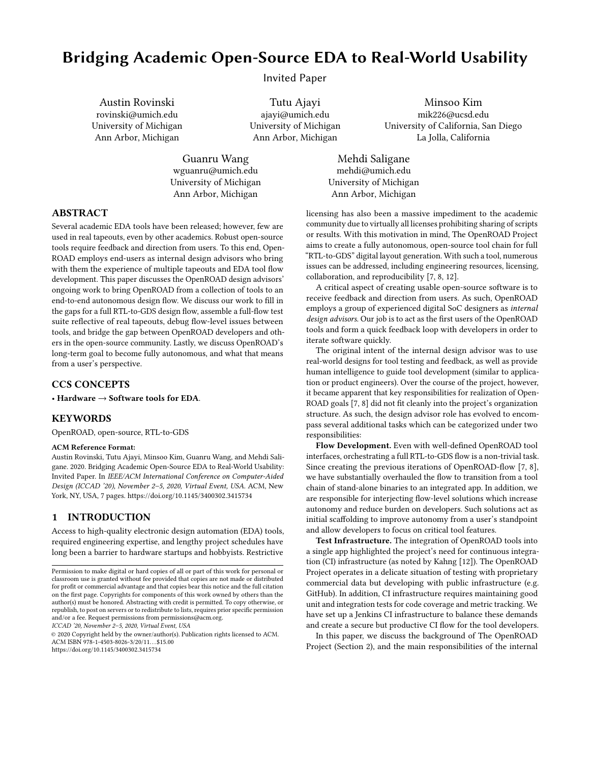# Bridging Academic Open-Source EDA to Real-World Usability

Invited Paper

Austin Rovinski rovinski@umich.edu University of Michigan Ann Arbor, Michigan

> Guanru Wang wguanru@umich.edu University of Michigan Ann Arbor, Michigan

Tutu Ajayi ajayi@umich.edu University of Michigan Ann Arbor, Michigan

Minsoo Kim mik226@ucsd.edu University of California, San Diego La Jolla, California

Mehdi Saligane mehdi@umich.edu University of Michigan Ann Arbor, Michigan

## ABSTRACT

Several academic EDA tools have been released; however, few are used in real tapeouts, even by other academics. Robust open-source tools require feedback and direction from users. To this end, Open-ROAD employs end-users as internal design advisors who bring with them the experience of multiple tapeouts and EDA tool flow development. This paper discusses the OpenROAD design advisors' ongoing work to bring OpenROAD from a collection of tools to an end-to-end autonomous design flow. We discuss our work to fill in the gaps for a full RTL-to-GDS design flow, assemble a full-flow test suite reflective of real tapeouts, debug flow-level issues between tools, and bridge the gap between OpenROAD developers and others in the open-source community. Lastly, we discuss OpenROAD's long-term goal to become fully autonomous, and what that means from a user's perspective.

## CCS CONCEPTS

• Hardware  $\rightarrow$  Software tools for EDA.

## **KEYWORDS**

OpenROAD, open-source, RTL-to-GDS

#### ACM Reference Format:

Austin Rovinski, Tutu Ajayi, Minsoo Kim, Guanru Wang, and Mehdi Saligane. 2020. Bridging Academic Open-Source EDA to Real-World Usability: Invited Paper. In IEEE/ACM International Conference on Computer-Aided Design (ICCAD '20), November 2–5, 2020, Virtual Event, USA. ACM, New York, NY, USA, 7 pages. https://doi.org/10.1145/3400302.3415734

## 1 INTRODUCTION

Access to high-quality electronic design automation (EDA) tools, required engineering expertise, and lengthy project schedules have long been a barrier to hardware startups and hobbyists. Restrictive

ICCAD '20, November 2–5, 2020, Virtual Event, USA

© 2020 Copyright held by the owner/author(s). Publication rights licensed to ACM. ACM ISBN 978-1-4503-8026-3/20/11. . . \$15.00

https://doi.org/10.1145/3400302.3415734

licensing has also been a massive impediment to the academic community due to virtually all licenses prohibiting sharing of scripts or results. With this motivation in mind, The OpenROAD Project aims to create a fully autonomous, open-source tool chain for full "RTL-to-GDS" digital layout generation. With such a tool, numerous issues can be addressed, including engineering resources, licensing, collaboration, and reproducibility [7, 8, 12].

A critical aspect of creating usable open-source software is to receive feedback and direction from users. As such, OpenROAD employs a group of experienced digital SoC designers as internal design advisors. Our job is to act as the first users of the OpenROAD tools and form a quick feedback loop with developers in order to iterate software quickly.

The original intent of the internal design advisor was to use real-world designs for tool testing and feedback, as well as provide human intelligence to guide tool development (similar to application or product engineers). Over the course of the project, however, it became apparent that key responsibilities for realization of Open-ROAD goals [7, 8] did not fit cleanly into the project's organization structure. As such, the design advisor role has evolved to encompass several additional tasks which can be categorized under two responsibilities:

Flow Development. Even with well-defined OpenROAD tool interfaces, orchestrating a full RTL-to-GDS flow is a non-trivial task. Since creating the previous iterations of OpenROAD-flow [7, 8], we have substantially overhauled the flow to transition from a tool chain of stand-alone binaries to an integrated app. In addition, we are responsible for interjecting flow-level solutions which increase autonomy and reduce burden on developers. Such solutions act as initial scaffolding to improve autonomy from a user's standpoint and allow developers to focus on critical tool features.

Test Infrastructure. The integration of OpenROAD tools into a single app highlighted the project's need for continuous integration (CI) infrastructure (as noted by Kahng [12]). The OpenROAD Project operates in a delicate situation of testing with proprietary commercial data but developing with public infrastructure (e.g. GitHub). In addition, CI infrastructure requires maintaining good unit and integration tests for code coverage and metric tracking. We have set up a Jenkins CI infrastructure to balance these demands and create a secure but productive CI flow for the tool developers.

In this paper, we discuss the background of The OpenROAD Project (Section 2), and the main responsibilities of the internal

Permission to make digital or hard copies of all or part of this work for personal or classroom use is granted without fee provided that copies are not made or distributed for profit or commercial advantage and that copies bear this notice and the full citation on the first page. Copyrights for components of this work owned by others than the author(s) must be honored. Abstracting with credit is permitted. To copy otherwise, or republish, to post on servers or to redistribute to lists, requires prior specific permission and/or a fee. Request permissions from permissions@acm.org.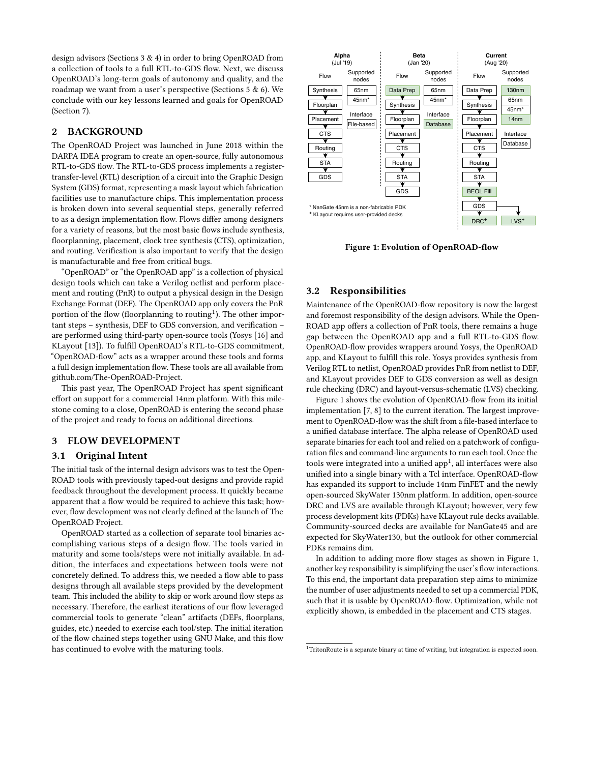design advisors (Sections 3 & 4) in order to bring OpenROAD from a collection of tools to a full RTL-to-GDS flow. Next, we discuss OpenROAD's long-term goals of autonomy and quality, and the roadmap we want from a user's perspective (Sections 5 & 6). We conclude with our key lessons learned and goals for OpenROAD (Section 7).

## 2 BACKGROUND

The OpenROAD Project was launched in June 2018 within the DARPA IDEA program to create an open-source, fully autonomous RTL-to-GDS flow. The RTL-to-GDS process implements a registertransfer-level (RTL) description of a circuit into the Graphic Design System (GDS) format, representing a mask layout which fabrication facilities use to manufacture chips. This implementation process is broken down into several sequential steps, generally referred to as a design implementation flow. Flows differ among designers for a variety of reasons, but the most basic flows include synthesis, floorplanning, placement, clock tree synthesis (CTS), optimization, and routing. Verification is also important to verify that the design is manufacturable and free from critical bugs.

"OpenROAD" or "the OpenROAD app" is a collection of physical design tools which can take a Verilog netlist and perform placement and routing (PnR) to output a physical design in the Design Exchange Format (DEF). The OpenROAD app only covers the PnR portion of the flow (floorplanning to routing<sup>1</sup>). The other important steps – synthesis, DEF to GDS conversion, and verification – are performed using third-party open-source tools (Yosys [16] and KLayout [13]). To fulfill OpenROAD's RTL-to-GDS commitment, "OpenROAD-flow" acts as a wrapper around these tools and forms a full design implementation flow. These tools are all available from github.com/The-OpenROAD-Project.

This past year, The OpenROAD Project has spent significant effort on support for a commercial 14nm platform. With this milestone coming to a close, OpenROAD is entering the second phase of the project and ready to focus on additional directions.

## 3 FLOW DEVELOPMENT

### 3.1 Original Intent

The initial task of the internal design advisors was to test the Open-ROAD tools with previously taped-out designs and provide rapid feedback throughout the development process. It quickly became apparent that a flow would be required to achieve this task; however, flow development was not clearly defined at the launch of The OpenROAD Project.

OpenROAD started as a collection of separate tool binaries accomplishing various steps of a design flow. The tools varied in maturity and some tools/steps were not initially available. In addition, the interfaces and expectations between tools were not concretely defined. To address this, we needed a flow able to pass designs through all available steps provided by the development team. This included the ability to skip or work around flow steps as necessary. Therefore, the earliest iterations of our flow leveraged commercial tools to generate "clean" artifacts (DEFs, floorplans, guides, etc.) needed to exercise each tool/step. The initial iteration of the flow chained steps together using GNU Make, and this flow has continued to evolve with the maturing tools.



Figure 1: Evolution of OpenROAD-flow

#### 3.2 Responsibilities

Maintenance of the OpenROAD-flow repository is now the largest and foremost responsibility of the design advisors. While the Open-ROAD app offers a collection of PnR tools, there remains a huge gap between the OpenROAD app and a full RTL-to-GDS flow. OpenROAD-flow provides wrappers around Yosys, the OpenROAD app, and KLayout to fulfill this role. Yosys provides synthesis from Verilog RTL to netlist, OpenROAD provides PnR from netlist to DEF, and KLayout provides DEF to GDS conversion as well as design rule checking (DRC) and layout-versus-schematic (LVS) checking.

Figure 1 shows the evolution of OpenROAD-flow from its initial implementation [7, 8] to the current iteration. The largest improvement to OpenROAD-flow was the shift from a file-based interface to a unified database interface. The alpha release of OpenROAD used separate binaries for each tool and relied on a patchwork of configuration files and command-line arguments to run each tool. Once the tools were integrated into a unified app $^1$ , all interfaces were also unified into a single binary with a Tcl interface. OpenROAD-flow has expanded its support to include 14nm FinFET and the newly open-sourced SkyWater 130nm platform. In addition, open-source DRC and LVS are available through KLayout; however, very few process development kits (PDKs) have KLayout rule decks available. Community-sourced decks are available for NanGate45 and are expected for SkyWater130, but the outlook for other commercial PDKs remains dim.

In addition to adding more flow stages as shown in Figure 1, another key responsibility is simplifying the user's flow interactions. To this end, the important data preparation step aims to minimize the number of user adjustments needed to set up a commercial PDK, such that it is usable by OpenROAD-flow. Optimization, while not explicitly shown, is embedded in the placement and CTS stages.

 $1$ TritonRoute is a separate binary at time of writing, but integration is expected soon.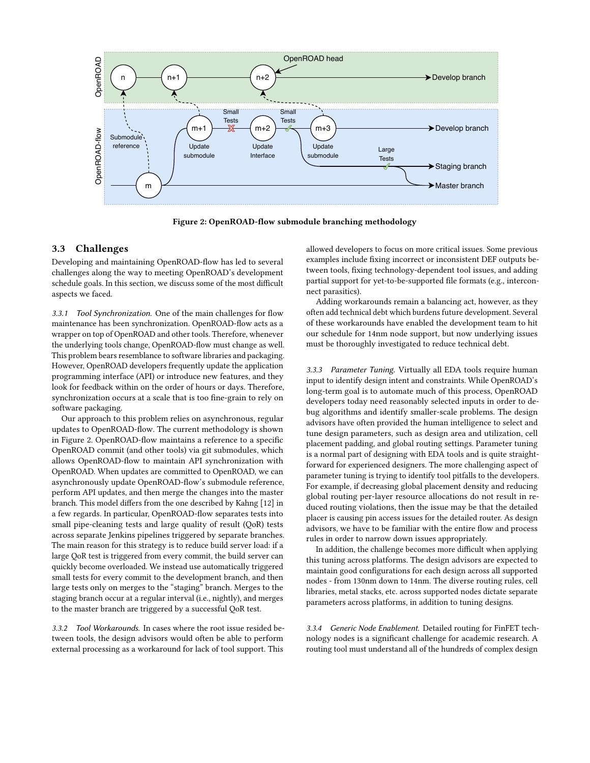

Figure 2: OpenROAD-flow submodule branching methodology

#### 3.3 Challenges

Developing and maintaining OpenROAD-flow has led to several challenges along the way to meeting OpenROAD's development schedule goals. In this section, we discuss some of the most difficult aspects we faced.

3.3.1 Tool Synchronization. One of the main challenges for flow maintenance has been synchronization. OpenROAD-flow acts as a wrapper on top of OpenROAD and other tools. Therefore, whenever the underlying tools change, OpenROAD-flow must change as well. This problem bears resemblance to software libraries and packaging. However, OpenROAD developers frequently update the application programming interface (API) or introduce new features, and they look for feedback within on the order of hours or days. Therefore, synchronization occurs at a scale that is too fine-grain to rely on software packaging.

Our approach to this problem relies on asynchronous, regular updates to OpenROAD-flow. The current methodology is shown in Figure 2. OpenROAD-flow maintains a reference to a specific OpenROAD commit (and other tools) via git submodules, which allows OpenROAD-flow to maintain API synchronization with OpenROAD. When updates are committed to OpenROAD, we can asynchronously update OpenROAD-flow's submodule reference, perform API updates, and then merge the changes into the master branch. This model differs from the one described by Kahng [12] in a few regards. In particular, OpenROAD-flow separates tests into small pipe-cleaning tests and large quality of result (QoR) tests across separate Jenkins pipelines triggered by separate branches. The main reason for this strategy is to reduce build server load: if a large QoR test is triggered from every commit, the build server can quickly become overloaded. We instead use automatically triggered small tests for every commit to the development branch, and then large tests only on merges to the "staging" branch. Merges to the staging branch occur at a regular interval (i.e., nightly), and merges to the master branch are triggered by a successful QoR test.

3.3.2 Tool Workarounds. In cases where the root issue resided between tools, the design advisors would often be able to perform external processing as a workaround for lack of tool support. This

allowed developers to focus on more critical issues. Some previous examples include fixing incorrect or inconsistent DEF outputs between tools, fixing technology-dependent tool issues, and adding partial support for yet-to-be-supported file formats (e.g., interconnect parasitics).

Adding workarounds remain a balancing act, however, as they often add technical debt which burdens future development. Several of these workarounds have enabled the development team to hit our schedule for 14nm node support, but now underlying issues must be thoroughly investigated to reduce technical debt.

3.3.3 Parameter Tuning. Virtually all EDA tools require human input to identify design intent and constraints. While OpenROAD's long-term goal is to automate much of this process, OpenROAD developers today need reasonably selected inputs in order to debug algorithms and identify smaller-scale problems. The design advisors have often provided the human intelligence to select and tune design parameters, such as design area and utilization, cell placement padding, and global routing settings. Parameter tuning is a normal part of designing with EDA tools and is quite straightforward for experienced designers. The more challenging aspect of parameter tuning is trying to identify tool pitfalls to the developers. For example, if decreasing global placement density and reducing global routing per-layer resource allocations do not result in reduced routing violations, then the issue may be that the detailed placer is causing pin access issues for the detailed router. As design advisors, we have to be familiar with the entire flow and process rules in order to narrow down issues appropriately.

In addition, the challenge becomes more difficult when applying this tuning across platforms. The design advisors are expected to maintain good configurations for each design across all supported nodes - from 130nm down to 14nm. The diverse routing rules, cell libraries, metal stacks, etc. across supported nodes dictate separate parameters across platforms, in addition to tuning designs.

3.3.4 Generic Node Enablement. Detailed routing for FinFET technology nodes is a significant challenge for academic research. A routing tool must understand all of the hundreds of complex design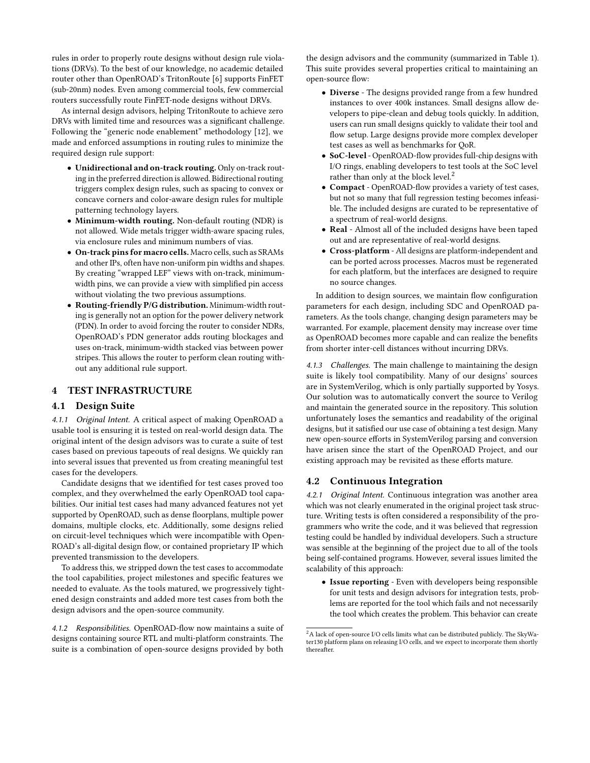rules in order to properly route designs without design rule violations (DRVs). To the best of our knowledge, no academic detailed router other than OpenROAD's TritonRoute [6] supports FinFET (sub-20nm) nodes. Even among commercial tools, few commercial routers successfully route FinFET-node designs without DRVs.

As internal design advisors, helping TritonRoute to achieve zero DRVs with limited time and resources was a significant challenge. Following the "generic node enablement" methodology [12], we made and enforced assumptions in routing rules to minimize the required design rule support:

- Unidirectional and on-track routing. Only on-track routing in the preferred direction is allowed. Bidirectional routing triggers complex design rules, such as spacing to convex or concave corners and color-aware design rules for multiple patterning technology layers.
- Minimum-width routing. Non-default routing (NDR) is not allowed. Wide metals trigger width-aware spacing rules, via enclosure rules and minimum numbers of vias.
- On-track pins for macro cells. Macro cells, such as SRAMs and other IPs, often have non-uniform pin widths and shapes. By creating "wrapped LEF" views with on-track, minimumwidth pins, we can provide a view with simplified pin access without violating the two previous assumptions.
- Routing-friendly P/G distribution. Minimum-width routing is generally not an option for the power delivery network (PDN). In order to avoid forcing the router to consider NDRs, OpenROAD's PDN generator adds routing blockages and uses on-track, minimum-width stacked vias between power stripes. This allows the router to perform clean routing without any additional rule support.

## 4 TEST INFRASTRUCTURE

#### 4.1 Design Suite

4.1.1 Original Intent. A critical aspect of making OpenROAD a usable tool is ensuring it is tested on real-world design data. The original intent of the design advisors was to curate a suite of test cases based on previous tapeouts of real designs. We quickly ran into several issues that prevented us from creating meaningful test cases for the developers.

Candidate designs that we identified for test cases proved too complex, and they overwhelmed the early OpenROAD tool capabilities. Our initial test cases had many advanced features not yet supported by OpenROAD, such as dense floorplans, multiple power domains, multiple clocks, etc. Additionally, some designs relied on circuit-level techniques which were incompatible with Open-ROAD's all-digital design flow, or contained proprietary IP which prevented transmission to the developers.

To address this, we stripped down the test cases to accommodate the tool capabilities, project milestones and specific features we needed to evaluate. As the tools matured, we progressively tightened design constraints and added more test cases from both the design advisors and the open-source community.

4.1.2 Responsibilities. OpenROAD-flow now maintains a suite of designs containing source RTL and multi-platform constraints. The suite is a combination of open-source designs provided by both

the design advisors and the community (summarized in Table 1). This suite provides several properties critical to maintaining an open-source flow:

- Diverse The designs provided range from a few hundred instances to over 400k instances. Small designs allow developers to pipe-clean and debug tools quickly. In addition, users can run small designs quickly to validate their tool and flow setup. Large designs provide more complex developer test cases as well as benchmarks for QoR.
- SoC-level- OpenROAD-flow provides full-chip designs with I/O rings, enabling developers to test tools at the SoC level rather than only at the block level.<sup>2</sup>
- Compact OpenROAD-flow provides a variety of test cases, but not so many that full regression testing becomes infeasible. The included designs are curated to be representative of a spectrum of real-world designs.
- Real Almost all of the included designs have been taped out and are representative of real-world designs.
- Cross-platform All designs are platform-independent and can be ported across processes. Macros must be regenerated for each platform, but the interfaces are designed to require no source changes.

In addition to design sources, we maintain flow configuration parameters for each design, including SDC and OpenROAD parameters. As the tools change, changing design parameters may be warranted. For example, placement density may increase over time as OpenROAD becomes more capable and can realize the benefits from shorter inter-cell distances without incurring DRVs.

4.1.3 Challenges. The main challenge to maintaining the design suite is likely tool compatibility. Many of our designs' sources are in SystemVerilog, which is only partially supported by Yosys. Our solution was to automatically convert the source to Verilog and maintain the generated source in the repository. This solution unfortunately loses the semantics and readability of the original designs, but it satisfied our use case of obtaining a test design. Many new open-source efforts in SystemVerilog parsing and conversion have arisen since the start of the OpenROAD Project, and our existing approach may be revisited as these efforts mature.

#### 4.2 Continuous Integration

4.2.1 Original Intent. Continuous integration was another area which was not clearly enumerated in the original project task structure. Writing tests is often considered a responsibility of the programmers who write the code, and it was believed that regression testing could be handled by individual developers. Such a structure was sensible at the beginning of the project due to all of the tools being self-contained programs. However, several issues limited the scalability of this approach:

• Issue reporting - Even with developers being responsible for unit tests and design advisors for integration tests, problems are reported for the tool which fails and not necessarily the tool which creates the problem. This behavior can create

<sup>2</sup>A lack of open-source I/O cells limits what can be distributed publicly. The SkyWater130 platform plans on releasing I/O cells, and we expect to incorporate them shortly thereafter.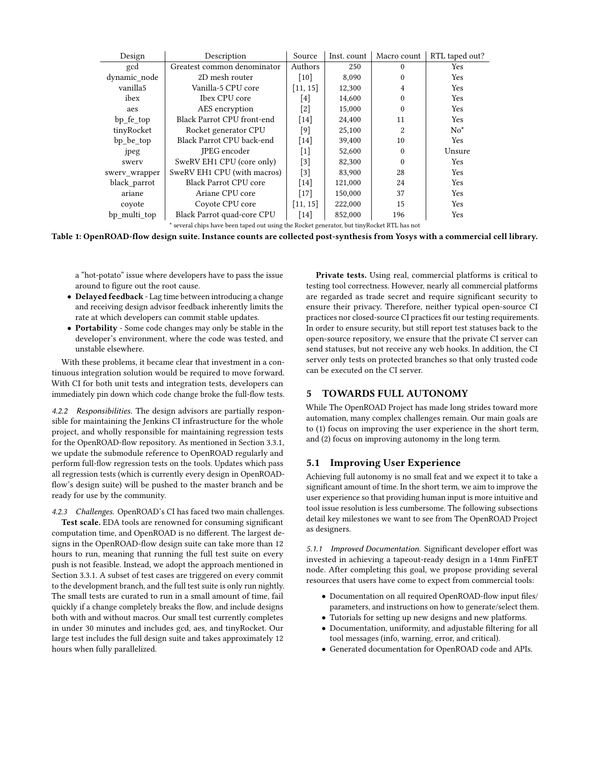| Description                       | Source             | Inst. count | Macro count    | RTL taped out? |
|-----------------------------------|--------------------|-------------|----------------|----------------|
| Greatest common denominator       | Authors            | 250         | $\Omega$       | Yes            |
| 2D mesh router                    | $\lceil 10 \rceil$ | 8,090       | $\Omega$       | Yes            |
| Vanilla-5 CPU core                | [11, 15]           | 12,300      | 4              | Yes            |
| Ibex CPU core                     | [4]                | 14,600      | $\theta$       | Yes            |
| AES encryption                    | $[2]$              | 15,000      | $\mathbf{0}$   | Yes            |
| <b>Black Parrot CPU front-end</b> | $[14]$             | 24,400      | 11             | Yes            |
| Rocket generator CPU              | [9]                | 25,100      | $\overline{2}$ | $No^*$         |
| Black Parrot CPU back-end         | $[14]$             | 39,400      | 10             | Yes            |
| <b>IPEG</b> encoder               | $[1]$              | 52,600      | $\Omega$       | Unsure         |
| SweRV EH1 CPU (core only)         | $[3]$              | 82,300      | $\Omega$       | Yes            |
| SweRV EH1 CPU (with macros)       | $[3]$              | 83,900      | 28             | Yes            |
| <b>Black Parrot CPU core</b>      | $[14]$             | 121,000     | 24             | Yes            |
| Ariane CPU core                   | $[17]$             | 150,000     | 37             | Yes            |
| Coyote CPU core                   | [11, 15]           | 222,000     | 15             | Yes            |
| Black Parrot quad-core CPU        | $[14]$             | 852,000     | 196            | Yes            |
|                                   |                    |             |                |                |

several chips have been taped out using the Rocket generator, but tinyRocket RTL has not

Table 1: OpenROAD-flow design suite. Instance counts are collected post-synthesis from Yosys with a commercial cell library.

a "hot-potato" issue where developers have to pass the issue around to figure out the root cause.

- Delayed feedback Lag time between introducing a change and receiving design advisor feedback inherently limits the rate at which developers can commit stable updates.
- Portability Some code changes may only be stable in the developer's environment, where the code was tested, and unstable elsewhere.

With these problems, it became clear that investment in a continuous integration solution would be required to move forward. With CI for both unit tests and integration tests, developers can immediately pin down which code change broke the full-flow tests.

4.2.2 Responsibilities. The design advisors are partially responsible for maintaining the Jenkins CI infrastructure for the whole project, and wholly responsible for maintaining regression tests for the OpenROAD-flow repository. As mentioned in Section 3.3.1, we update the submodule reference to OpenROAD regularly and perform full-flow regression tests on the tools. Updates which pass all regression tests (which is currently every design in OpenROADflow's design suite) will be pushed to the master branch and be ready for use by the community.

4.2.3 Challenges. OpenROAD's CI has faced two main challenges. Test scale. EDA tools are renowned for consuming significant computation time, and OpenROAD is no different. The largest designs in the OpenROAD-flow design suite can take more than 12 hours to run, meaning that running the full test suite on every push is not feasible. Instead, we adopt the approach mentioned in Section 3.3.1. A subset of test cases are triggered on every commit to the development branch, and the full test suite is only run nightly. The small tests are curated to run in a small amount of time, fail quickly if a change completely breaks the flow, and include designs both with and without macros. Our small test currently completes in under 30 minutes and includes gcd, aes, and tinyRocket. Our large test includes the full design suite and takes approximately 12 hours when fully parallelized.

Private tests. Using real, commercial platforms is critical to testing tool correctness. However, nearly all commercial platforms are regarded as trade secret and require significant security to ensure their privacy. Therefore, neither typical open-source CI practices nor closed-source CI practices fit our testing requirements. In order to ensure security, but still report test statuses back to the open-source repository, we ensure that the private CI server can send statuses, but not receive any web hooks. In addition, the CI server only tests on protected branches so that only trusted code can be executed on the CI server.

#### 5 TOWARDS FULL AUTONOMY

While The OpenROAD Project has made long strides toward more automation, many complex challenges remain. Our main goals are to (1) focus on improving the user experience in the short term, and (2) focus on improving autonomy in the long term.

#### 5.1 Improving User Experience

Achieving full autonomy is no small feat and we expect it to take a significant amount of time. In the short term, we aim to improve the user experience so that providing human input is more intuitive and tool issue resolution is less cumbersome. The following subsections detail key milestones we want to see from The OpenROAD Project as designers.

5.1.1 Improved Documentation. Significant developer effort was invested in achieving a tapeout-ready design in a 14nm FinFET node. After completing this goal, we propose providing several resources that users have come to expect from commercial tools:

- Documentation on all required OpenROAD-flow input files/ parameters, and instructions on how to generate/select them.
- Tutorials for setting up new designs and new platforms.
- Documentation, uniformity, and adjustable filtering for all tool messages (info, warning, error, and critical).
- Generated documentation for OpenROAD code and APIs.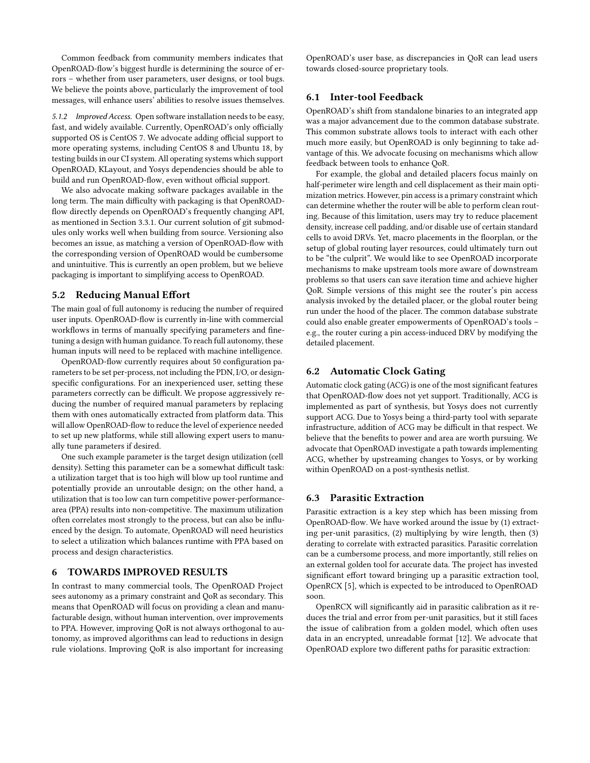Common feedback from community members indicates that OpenROAD-flow's biggest hurdle is determining the source of errors – whether from user parameters, user designs, or tool bugs. We believe the points above, particularly the improvement of tool messages, will enhance users' abilities to resolve issues themselves.

5.1.2 Improved Access. Open software installation needs to be easy, fast, and widely available. Currently, OpenROAD's only officially supported OS is CentOS 7. We advocate adding official support to more operating systems, including CentOS 8 and Ubuntu 18, by testing builds in our CI system. All operating systems which support OpenROAD, KLayout, and Yosys dependencies should be able to build and run OpenROAD-flow, even without official support.

We also advocate making software packages available in the long term. The main difficulty with packaging is that OpenROADflow directly depends on OpenROAD's frequently changing API, as mentioned in Section 3.3.1. Our current solution of git submodules only works well when building from source. Versioning also becomes an issue, as matching a version of OpenROAD-flow with the corresponding version of OpenROAD would be cumbersome and unintuitive. This is currently an open problem, but we believe packaging is important to simplifying access to OpenROAD.

#### 5.2 Reducing Manual Effort

The main goal of full autonomy is reducing the number of required user inputs. OpenROAD-flow is currently in-line with commercial workflows in terms of manually specifying parameters and finetuning a design with human guidance. To reach full autonomy, these human inputs will need to be replaced with machine intelligence.

OpenROAD-flow currently requires about 50 configuration parameters to be set per-process, not including the PDN, I/O, or designspecific configurations. For an inexperienced user, setting these parameters correctly can be difficult. We propose aggressively reducing the number of required manual parameters by replacing them with ones automatically extracted from platform data. This will allow OpenROAD-flow to reduce the level of experience needed to set up new platforms, while still allowing expert users to manually tune parameters if desired.

One such example parameter is the target design utilization (cell density). Setting this parameter can be a somewhat difficult task: a utilization target that is too high will blow up tool runtime and potentially provide an unroutable design; on the other hand, a utilization that is too low can turn competitive power-performancearea (PPA) results into non-competitive. The maximum utilization often correlates most strongly to the process, but can also be influenced by the design. To automate, OpenROAD will need heuristics to select a utilization which balances runtime with PPA based on process and design characteristics.

#### 6 TOWARDS IMPROVED RESULTS

In contrast to many commercial tools, The OpenROAD Project sees autonomy as a primary constraint and QoR as secondary. This means that OpenROAD will focus on providing a clean and manufacturable design, without human intervention, over improvements to PPA. However, improving QoR is not always orthogonal to autonomy, as improved algorithms can lead to reductions in design rule violations. Improving QoR is also important for increasing

OpenROAD's user base, as discrepancies in QoR can lead users towards closed-source proprietary tools.

#### 6.1 Inter-tool Feedback

OpenROAD's shift from standalone binaries to an integrated app was a major advancement due to the common database substrate. This common substrate allows tools to interact with each other much more easily, but OpenROAD is only beginning to take advantage of this. We advocate focusing on mechanisms which allow feedback between tools to enhance QoR.

For example, the global and detailed placers focus mainly on half-perimeter wire length and cell displacement as their main optimization metrics. However, pin access is a primary constraint which can determine whether the router will be able to perform clean routing. Because of this limitation, users may try to reduce placement density, increase cell padding, and/or disable use of certain standard cells to avoid DRVs. Yet, macro placements in the floorplan, or the setup of global routing layer resources, could ultimately turn out to be "the culprit". We would like to see OpenROAD incorporate mechanisms to make upstream tools more aware of downstream problems so that users can save iteration time and achieve higher QoR. Simple versions of this might see the router's pin access analysis invoked by the detailed placer, or the global router being run under the hood of the placer. The common database substrate could also enable greater empowerments of OpenROAD's tools – e.g., the router curing a pin access-induced DRV by modifying the detailed placement.

#### 6.2 Automatic Clock Gating

Automatic clock gating (ACG) is one of the most significant features that OpenROAD-flow does not yet support. Traditionally, ACG is implemented as part of synthesis, but Yosys does not currently support ACG. Due to Yosys being a third-party tool with separate infrastructure, addition of ACG may be difficult in that respect. We believe that the benefits to power and area are worth pursuing. We advocate that OpenROAD investigate a path towards implementing ACG, whether by upstreaming changes to Yosys, or by working within OpenROAD on a post-synthesis netlist.

#### 6.3 Parasitic Extraction

Parasitic extraction is a key step which has been missing from OpenROAD-flow. We have worked around the issue by (1) extracting per-unit parasitics, (2) multiplying by wire length, then (3) derating to correlate with extracted parasitics. Parasitic correlation can be a cumbersome process, and more importantly, still relies on an external golden tool for accurate data. The project has invested significant effort toward bringing up a parasitic extraction tool, OpenRCX [5], which is expected to be introduced to OpenROAD soon.

OpenRCX will significantly aid in parasitic calibration as it reduces the trial and error from per-unit parasitics, but it still faces the issue of calibration from a golden model, which often uses data in an encrypted, unreadable format [12]. We advocate that OpenROAD explore two different paths for parasitic extraction: